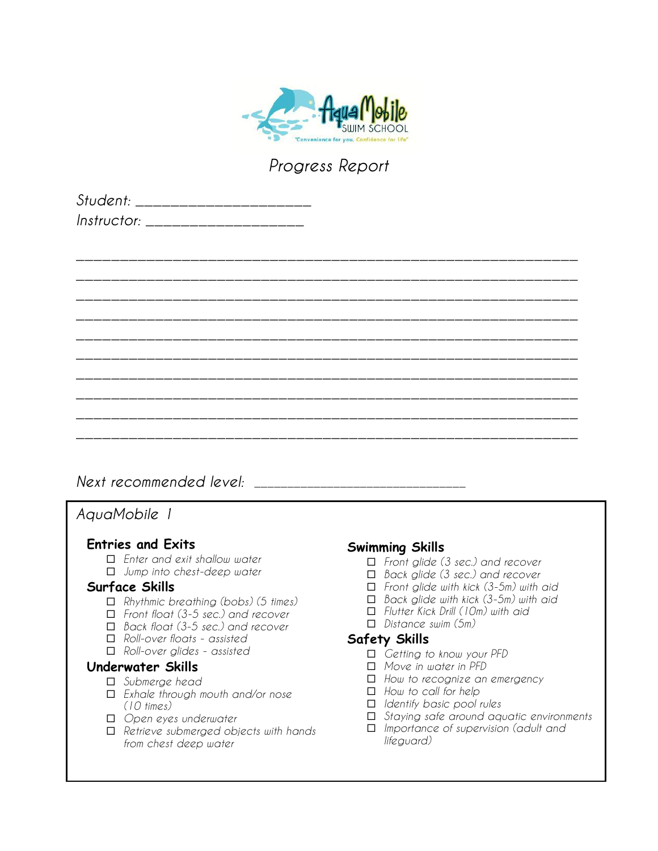

| Student: _____________          |  |
|---------------------------------|--|
| <i>Instructor:</i> ____________ |  |

|  |  | _______  |
|--|--|----------|
|  |  |          |
|  |  |          |
|  |  |          |
|  |  |          |
|  |  |          |
|  |  |          |
|  |  |          |
|  |  | ________ |
|  |  |          |
|  |  |          |

# *Next recommended level:*

# *AquaMobile 1*

## **Entries and Exits**

- ¨ *Enter and exit shallow water*
- ¨ *Jump into chest-deep water*

### **Surface Skills**

- ¨ *Rhythmic breathing (bobs) (5 times)*
- ¨ *Front float (3-5 sec.) and recover*
- ¨ *Back float (3-5 sec.) and recover*
- ¨ *Roll-over floats - assisted*
- ¨ *Roll-over glides - assisted*

#### **Underwater Skills**

- □ *Submerge head*
- ¨ *Exhale through mouth and/or nose (10 times)*
- ¨ *Open eyes underwater*
- ¨ *Retrieve submerged objects with hands from chest deep water*

### **Swimming Skills**

- ¨ *Front glide (3 sec.) and recover*
- ¨ *Back glide (3 sec.) and recover*
- ¨ *Front glide with kick (3-5m) with aid*
- ¨ *Back glide with kick (3-5m) with aid*
- ¨ *Flutter Kick Drill (10m) with aid*
- ¨ *Distance swim (5m)*

- ¨ *Getting to know your PFD*
- ¨ *Move in water in PFD*
- □ How to recognize an emergency
- □ *How to call for help*
- ¨ *Identify basic pool rules*
- ¨ *Staying safe around aquatic environments*
- ¨ *Importance of supervision (adult and lifeguard)*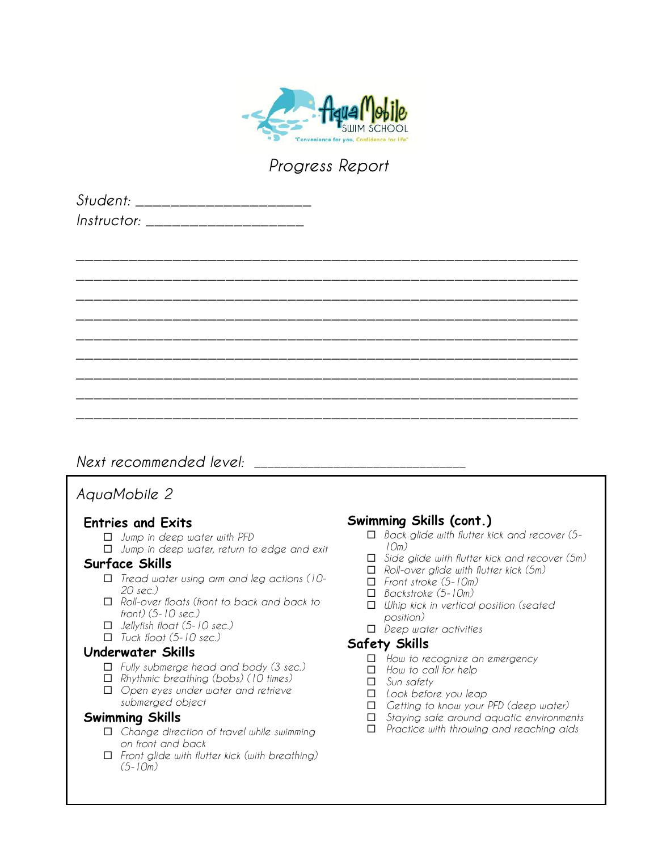

*\_\_\_\_\_\_\_\_\_\_\_\_\_\_\_\_\_\_\_\_\_\_\_\_\_\_\_\_\_\_\_\_\_\_\_\_\_\_\_\_\_\_\_\_\_\_\_\_\_\_\_\_\_\_\_\_\_*

| Student: _____________   |  |
|--------------------------|--|
| Instructor: ____________ |  |

# *\_\_\_\_\_\_\_\_\_\_\_\_\_\_\_\_\_\_\_\_\_\_\_\_\_\_\_\_\_\_\_\_\_\_\_\_\_\_\_\_\_\_\_\_\_\_\_\_\_\_\_\_\_\_\_\_\_ \_\_\_\_\_\_\_\_\_\_\_\_\_\_\_\_\_\_\_\_\_\_\_\_\_\_\_\_\_\_\_\_\_\_\_\_\_\_\_\_\_\_\_\_\_\_\_\_\_\_\_\_\_\_\_\_\_ \_\_\_\_\_\_\_\_\_\_\_\_\_\_\_\_\_\_\_\_\_\_\_\_\_\_\_\_\_\_\_\_\_\_\_\_\_\_\_\_\_\_\_\_\_\_\_\_\_\_\_\_\_\_\_\_\_ \_\_\_\_\_\_\_\_\_\_\_\_\_\_\_\_\_\_\_\_\_\_\_\_\_\_\_\_\_\_\_\_\_\_\_\_\_\_\_\_\_\_\_\_\_\_\_\_\_\_\_\_\_\_\_\_\_ \_\_\_\_\_\_\_\_\_\_\_\_\_\_\_\_\_\_\_\_\_\_\_\_\_\_\_\_\_\_\_\_\_\_\_\_\_\_\_\_\_\_\_\_\_\_\_\_\_\_\_\_\_\_\_\_\_ \_\_\_\_\_\_\_\_\_\_\_\_\_\_\_\_\_\_\_\_\_\_\_\_\_\_\_\_\_\_\_\_\_\_\_\_\_\_\_\_\_\_\_\_\_\_\_\_\_\_\_\_\_\_\_\_\_ \_\_\_\_\_\_\_\_\_\_\_\_\_\_\_\_\_\_\_\_\_\_\_\_\_\_\_\_\_\_\_\_\_\_\_\_\_\_\_\_\_\_\_\_\_\_\_\_\_\_\_\_\_\_\_\_\_ \_\_\_\_\_\_\_\_\_\_\_\_\_\_\_\_\_\_\_\_\_\_\_\_\_\_\_\_\_\_\_\_\_\_\_\_\_\_\_\_\_\_\_\_\_\_\_\_\_\_\_\_\_\_\_\_\_*

# *Next recommended level: \_\_\_\_\_\_\_\_\_\_\_\_\_\_\_\_\_\_\_\_\_\_\_\_\_\_\_\_\_\_\_\_*

# *AquaMobile 2*

## **Entries and Exits**

- ¨ *Jump in deep water with PFD*
- □ *Jump in deep water, return to edge and exit*

### **Surface Skills**

- ¨ *Tread water using arm and leg actions (10- 20 sec.)*
- □ Roll-over floats (front to back and back to *front) (5-10 sec.)*
- ¨ *Jellyfish float (5-10 sec.)*
- ¨ *Tuck float (5-10 sec.)*

#### **Underwater Skills**

- ¨ *Fully submerge head and body (3 sec.)*
- ¨ *Rhythmic breathing (bobs) (10 times)*
- ¨ *Open eyes under water and retrieve submerged object*

### **Swimming Skills**

- ¨ *Change direction of travel while swimming on front and back*
- ¨ *Front glide with flutter kick (with breathing) (5-10m)*

# **Swimming Skills (cont.)**

- ¨ *Back glide with flutter kick and recover (5- 10m)*
- □ *Side glide with flutter kick and recover* (5m)
- ¨ *Roll-over glide with flutter kick (5m)*
- ¨ *Front stroke (5-10m)*
- ¨ *Backstroke (5-10m)*
- ¨ *Whip kick in vertical position (seated position)*
- ¨ *Deep water activities*

- ¨ *How to recognize an emergency*
- □ How to call for help
- □ *Sun safety*
- ¨ *Look before you leap*
- ¨ *Getting to know your PFD (deep water)*
- ¨ *Staying safe around aquatic environments*
- ¨ *Practice with throwing and reaching aids*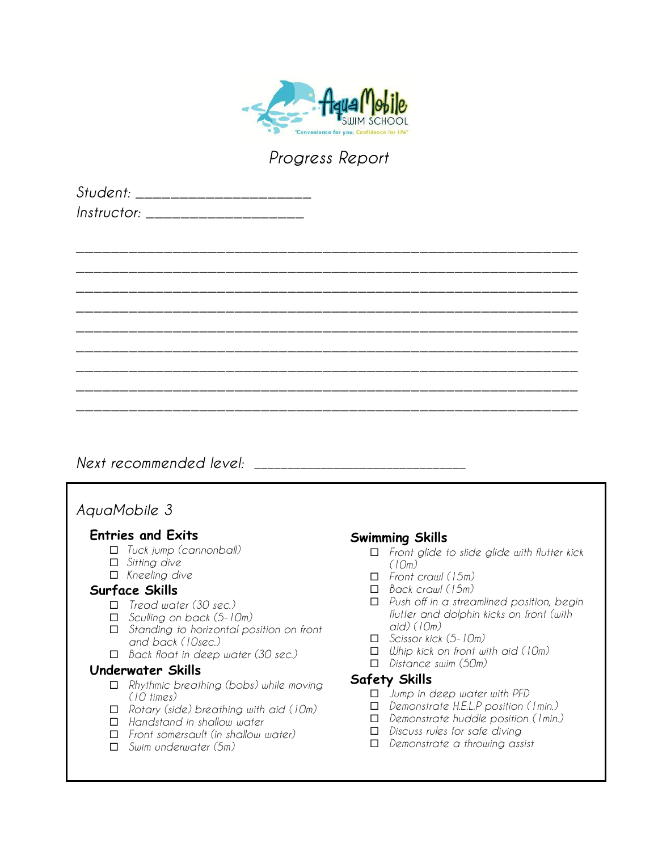

| Student: ________________________ |  |  |
|-----------------------------------|--|--|
| Instructor: _____________________ |  |  |
|                                   |  |  |
|                                   |  |  |
|                                   |  |  |
|                                   |  |  |
|                                   |  |  |
|                                   |  |  |
|                                   |  |  |
|                                   |  |  |
|                                   |  |  |
|                                   |  |  |
|                                   |  |  |
|                                   |  |  |

*Next recommended level: \_\_\_\_\_\_\_\_\_\_\_\_\_\_\_\_\_\_\_\_\_\_\_\_\_\_\_\_\_\_\_\_*

# *AquaMobile 3*

### **Entries and Exits**

- ¨ *Tuck jump (cannonball)*
- □ *Sitting dive*
- □ *Kneeling dive*

## **Surface Skills**

- ¨ *Tread water (30 sec.)*
- ¨ *Sculling on back (5-10m)*
- ¨ *Standing to horizontal position on front and back (10sec.)*
- ¨ *Back float in deep water (30 sec.)*

### **Underwater Skills**

- ¨ *Rhythmic breathing (bobs) while moving (10 times)*
- ¨ *Rotary (side) breathing with aid (10m)*
- ¨ *Handstand in shallow water*
- ¨ *Front somersault (in shallow water)*
- ¨ *Swim underwater (5m)*

## **Swimming Skills**

- ¨ *Front glide to slide glide with flutter kick (10m)*
- ¨ *Front crawl (15m)*
- ¨ *Back crawl (15m)*
- ¨ *Push off in a streamlined position, begin flutter and dolphin kicks on front (with aid) (10m)*
- ¨ *Scissor kick (5-10m)*
- ¨ *Whip kick on front with aid (10m)*
- ¨ *Distance swim (50m)*

- ¨ *Jump in deep water with PFD*
- ¨ *Demonstrate H.E.L.P position (1min.)*
- ¨ *Demonstrate huddle position (1min.)*
- ¨ *Discuss rules for safe diving*
- ¨ *Demonstrate a throwing assist*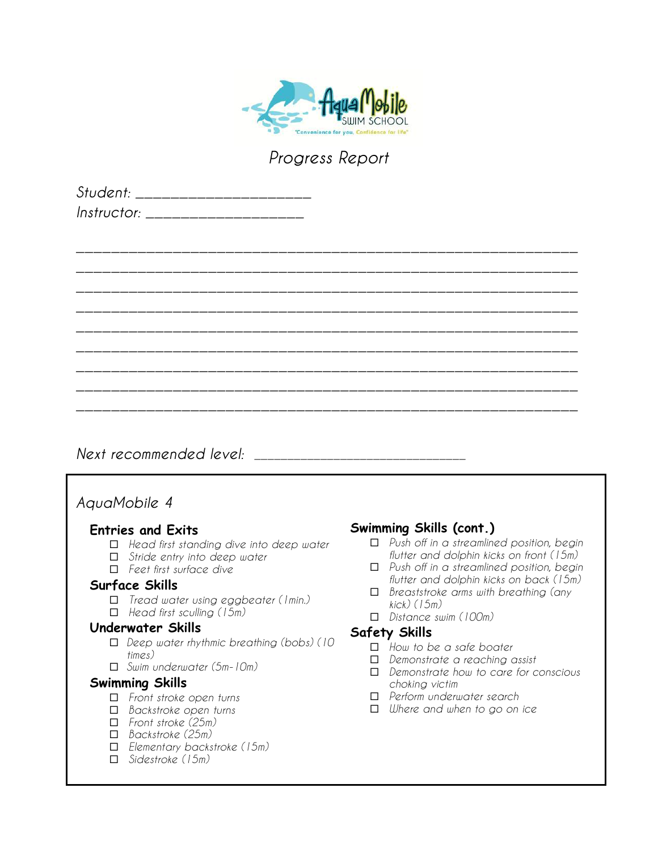

| Student: ____________    |  |
|--------------------------|--|
| $Instructor: __________$ |  |

|  | _______  |  |
|--|----------|--|
|  | ______   |  |
|  |          |  |
|  | ________ |  |
|  |          |  |
|  |          |  |
|  |          |  |
|  |          |  |
|  |          |  |
|  |          |  |

*Next recommended level: \_\_\_\_\_\_\_\_\_\_\_\_\_\_\_\_\_\_\_\_\_\_\_\_\_\_\_\_\_\_\_\_*

# *AquaMobile 4*

## **Entries and Exits**

- ¨ *Head first standing dive into deep water*
- □ *Stride entry into deep water*
- ¨ *Feet first surface dive*

## **Surface Skills**

- ¨ *Tread water using eggbeater (1min.)*
- ¨ *Head first sculling (15m)*

## **Underwater Skills**

- ¨ *Deep water rhythmic breathing (bobs) (10 times)*
- ¨ *Swim underwater (5m-10m)*

## **Swimming Skills**

- ¨ *Front stroke open turns*
- ¨ *Backstroke open turns*
- ¨ *Front stroke (25m)*
- ¨ *Backstroke (25m)*
- ¨ *Elementary backstroke (15m)*
- ¨ *Sidestroke (15m)*

# **Swimming Skills (cont.)**

- ¨ *Push off in a streamlined position, begin flutter and dolphin kicks on front (15m)*
- ¨ *Push off in a streamlined position, begin flutter and dolphin kicks on back (15m)*
- ¨ *Breaststroke arms with breathing (any kick) (15m)*
- ¨ *Distance swim (100m)*

- ¨ *How to be a safe boater*
- ¨ *Demonstrate a reaching assist*
- ¨ *Demonstrate how to care for conscious choking victim*
- ¨ *Perform underwater search*
- ¨ *Where and when to go on ice*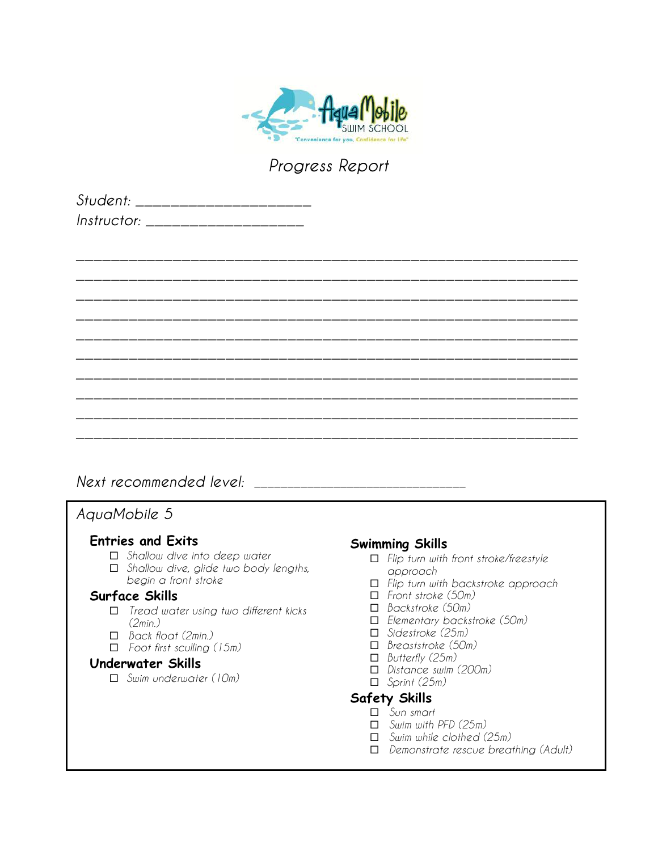

| Student: _____________   |  |
|--------------------------|--|
| Instructor: ____________ |  |

# *\_\_\_\_\_\_\_\_\_\_\_\_\_\_\_\_\_\_\_\_\_\_\_\_\_\_\_\_\_\_\_\_\_\_\_\_\_\_\_\_\_\_\_\_\_\_\_\_\_\_\_\_\_\_\_\_\_ \_\_\_\_\_\_\_\_\_\_\_\_\_\_\_\_\_\_\_\_\_\_\_\_\_\_\_\_\_\_\_\_\_\_\_\_\_\_\_\_\_\_\_\_\_\_\_\_\_\_\_\_\_\_\_\_\_ \_\_\_\_\_\_\_\_\_\_\_\_\_\_\_\_\_\_\_\_\_\_\_\_\_\_\_\_\_\_\_\_\_\_\_\_\_\_\_\_\_\_\_\_\_\_\_\_\_\_\_\_\_\_\_\_\_ \_\_\_\_\_\_\_\_\_\_\_\_\_\_\_\_\_\_\_\_\_\_\_\_\_\_\_\_\_\_\_\_\_\_\_\_\_\_\_\_\_\_\_\_\_\_\_\_\_\_\_\_\_\_\_\_\_ \_\_\_\_\_\_\_\_\_\_\_\_\_\_\_\_\_\_\_\_\_\_\_\_\_\_\_\_\_\_\_\_\_\_\_\_\_\_\_\_\_\_\_\_\_\_\_\_\_\_\_\_\_\_\_\_\_ \_\_\_\_\_\_\_\_\_\_\_\_\_\_\_\_\_\_\_\_\_\_\_\_\_\_\_\_\_\_\_\_\_\_\_\_\_\_\_\_\_\_\_\_\_\_\_\_\_\_\_\_\_\_\_\_\_ \_\_\_\_\_\_\_\_\_\_\_\_\_\_\_\_\_\_\_\_\_\_\_\_\_\_\_\_\_\_\_\_\_\_\_\_\_\_\_\_\_\_\_\_\_\_\_\_\_\_\_\_\_\_\_\_\_ \_\_\_\_\_\_\_\_\_\_\_\_\_\_\_\_\_\_\_\_\_\_\_\_\_\_\_\_\_\_\_\_\_\_\_\_\_\_\_\_\_\_\_\_\_\_\_\_\_\_\_\_\_\_\_\_\_ \_\_\_\_\_\_\_\_\_\_\_\_\_\_\_\_\_\_\_\_\_\_\_\_\_\_\_\_\_\_\_\_\_\_\_\_\_\_\_\_\_\_\_\_\_\_\_\_\_\_\_\_\_\_\_\_\_ \_\_\_\_\_\_\_\_\_\_\_\_\_\_\_\_\_\_\_\_\_\_\_\_\_\_\_\_\_\_\_\_\_\_\_\_\_\_\_\_\_\_\_\_\_\_\_\_\_\_\_\_\_\_\_\_\_*

# *Next recommended level: \_\_\_\_\_\_\_\_\_\_\_\_\_\_\_\_\_\_\_\_\_\_\_\_\_\_\_\_\_\_\_\_*

# *AquaMobile 5*

## **Entries and Exits**

- □ *Shallow dive into deep water*
- ¨ *Shallow dive, glide two body lengths, begin a front stroke*

### **Surface Skills**

- ¨ *Tread water using two different kicks (2min.)*
- ¨ *Back float (2min.)*
- ¨ *Foot first sculling (15m)*

#### **Underwater Skills**

¨ *Swim underwater (10m)*

## **Swimming Skills**

- ¨ *Flip turn with front stroke/freestyle approach*
- ¨ *Flip turn with backstroke approach*
- ¨ *Front stroke (50m)*
- ¨ *Backstroke (50m)*
- ¨ *Elementary backstroke (50m)*
- ¨ *Sidestroke (25m)*
- ¨ *Breaststroke (50m)*
- ¨ *Butterfly (25m)*
- ¨ *Distance swim (200m)*
- ¨ *Sprint (25m)*

- ¨ *Sun smart*
- ¨ *Swim with PFD (25m)*
- ¨ *Swim while clothed (25m)*
- ¨ *Demonstrate rescue breathing (Adult)*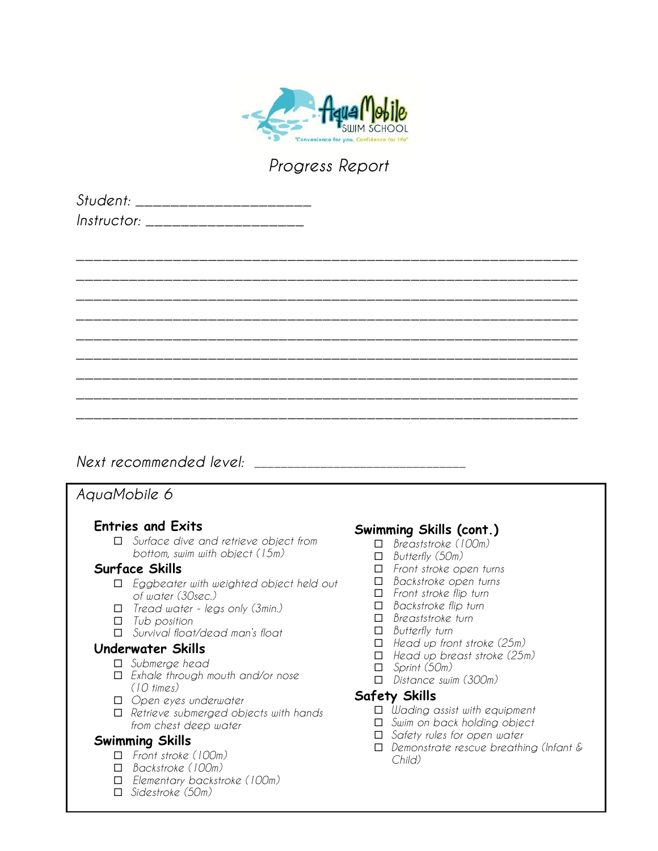

*\_\_\_\_\_\_\_\_\_\_\_\_\_\_\_\_\_\_\_\_\_\_\_\_\_\_\_\_\_\_\_\_\_\_\_\_\_\_\_\_\_\_\_\_\_\_\_\_\_\_\_\_\_\_\_\_\_*

| Student: _____________   |  |
|--------------------------|--|
| Instructor: ____________ |  |

# *\_\_\_\_\_\_\_\_\_\_\_\_\_\_\_\_\_\_\_\_\_\_\_\_\_\_\_\_\_\_\_\_\_\_\_\_\_\_\_\_\_\_\_\_\_\_\_\_\_\_\_\_\_\_\_\_\_ \_\_\_\_\_\_\_\_\_\_\_\_\_\_\_\_\_\_\_\_\_\_\_\_\_\_\_\_\_\_\_\_\_\_\_\_\_\_\_\_\_\_\_\_\_\_\_\_\_\_\_\_\_\_\_\_\_ \_\_\_\_\_\_\_\_\_\_\_\_\_\_\_\_\_\_\_\_\_\_\_\_\_\_\_\_\_\_\_\_\_\_\_\_\_\_\_\_\_\_\_\_\_\_\_\_\_\_\_\_\_\_\_\_\_ \_\_\_\_\_\_\_\_\_\_\_\_\_\_\_\_\_\_\_\_\_\_\_\_\_\_\_\_\_\_\_\_\_\_\_\_\_\_\_\_\_\_\_\_\_\_\_\_\_\_\_\_\_\_\_\_\_ \_\_\_\_\_\_\_\_\_\_\_\_\_\_\_\_\_\_\_\_\_\_\_\_\_\_\_\_\_\_\_\_\_\_\_\_\_\_\_\_\_\_\_\_\_\_\_\_\_\_\_\_\_\_\_\_\_ \_\_\_\_\_\_\_\_\_\_\_\_\_\_\_\_\_\_\_\_\_\_\_\_\_\_\_\_\_\_\_\_\_\_\_\_\_\_\_\_\_\_\_\_\_\_\_\_\_\_\_\_\_\_\_\_\_ \_\_\_\_\_\_\_\_\_\_\_\_\_\_\_\_\_\_\_\_\_\_\_\_\_\_\_\_\_\_\_\_\_\_\_\_\_\_\_\_\_\_\_\_\_\_\_\_\_\_\_\_\_\_\_\_\_ \_\_\_\_\_\_\_\_\_\_\_\_\_\_\_\_\_\_\_\_\_\_\_\_\_\_\_\_\_\_\_\_\_\_\_\_\_\_\_\_\_\_\_\_\_\_\_\_\_\_\_\_\_\_\_\_\_*

# *Next recommended level:*  $\blacksquare$

# *AquaMobile 6*

## **Entries and Exits**

¨ *Surface dive and retrieve object from bottom, swim with object (15m)*

### **Surface Skills**

- ¨ *Eggbeater with weighted object held out of water (30sec.)*
- ¨ *Tread water - legs only (3min.)*
- ¨ *Tub position*
- ¨ *Survival float/dead man's float*

### **Underwater Skills**

- □ *Submerge head*
- ¨ *Exhale through mouth and/or nose (10 times)*
- ¨ *Open eyes underwater*
- ¨ *Retrieve submerged objects with hands from chest deep water*

### **Swimming Skills**

- ¨ *Front stroke (100m)*
- ¨ *Backstroke (100m)*
- ¨ *Elementary backstroke (100m)*
- ¨ *Sidestroke (50m)*

# **Swimming Skills (cont.)**

- ¨ *Breaststroke (100m)*
- ¨ *Butterfly (50m)*
- ¨ *Front stroke open turns*
- ¨ *Backstroke open turns*
- ¨ *Front stroke flip turn*
- ¨ *Backstroke flip turn*
- ¨ *Breaststroke turn*
- ¨ *Butterfly turn*
- ¨ *Head up front stroke (25m)*
- ¨ *Head up breast stroke (25m)*
- ¨ *Sprint (50m)*
- ¨ *Distance swim (300m)*

- ¨ *Wading assist with equipment*
- ¨ *Swim on back holding object*
- □ *Safety rules for open water*
- ¨ *Demonstrate rescue breathing (Infant & Child)*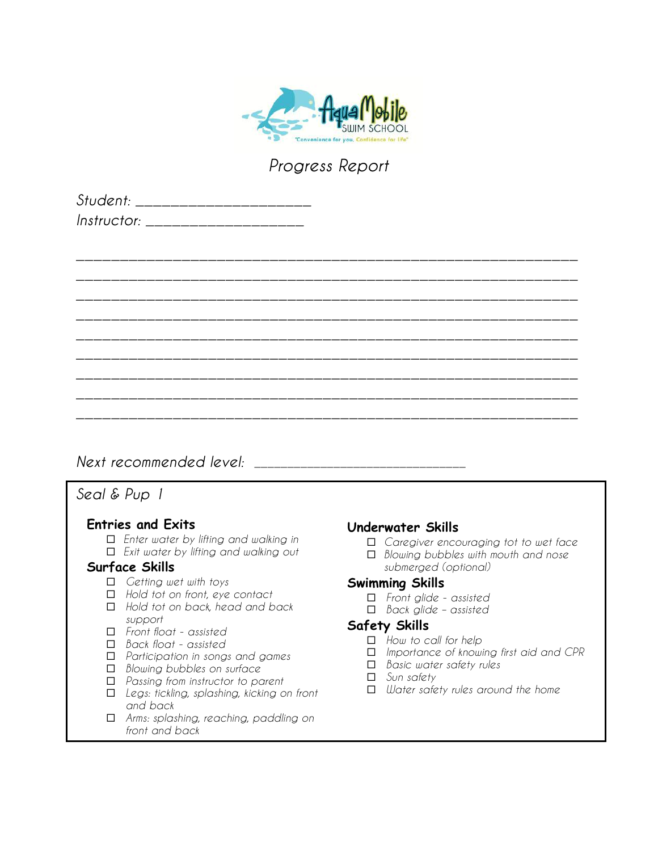

*\_\_\_\_\_\_\_\_\_\_\_\_\_\_\_\_\_\_\_\_\_\_\_\_\_\_\_\_\_\_\_\_\_\_\_\_\_\_\_\_\_\_\_\_\_\_\_\_\_\_\_\_\_\_\_\_\_*

| Student: _____________   |  |
|--------------------------|--|
| Instructor: ____________ |  |

# *\_\_\_\_\_\_\_\_\_\_\_\_\_\_\_\_\_\_\_\_\_\_\_\_\_\_\_\_\_\_\_\_\_\_\_\_\_\_\_\_\_\_\_\_\_\_\_\_\_\_\_\_\_\_\_\_\_ \_\_\_\_\_\_\_\_\_\_\_\_\_\_\_\_\_\_\_\_\_\_\_\_\_\_\_\_\_\_\_\_\_\_\_\_\_\_\_\_\_\_\_\_\_\_\_\_\_\_\_\_\_\_\_\_\_ \_\_\_\_\_\_\_\_\_\_\_\_\_\_\_\_\_\_\_\_\_\_\_\_\_\_\_\_\_\_\_\_\_\_\_\_\_\_\_\_\_\_\_\_\_\_\_\_\_\_\_\_\_\_\_\_\_ \_\_\_\_\_\_\_\_\_\_\_\_\_\_\_\_\_\_\_\_\_\_\_\_\_\_\_\_\_\_\_\_\_\_\_\_\_\_\_\_\_\_\_\_\_\_\_\_\_\_\_\_\_\_\_\_\_ \_\_\_\_\_\_\_\_\_\_\_\_\_\_\_\_\_\_\_\_\_\_\_\_\_\_\_\_\_\_\_\_\_\_\_\_\_\_\_\_\_\_\_\_\_\_\_\_\_\_\_\_\_\_\_\_\_ \_\_\_\_\_\_\_\_\_\_\_\_\_\_\_\_\_\_\_\_\_\_\_\_\_\_\_\_\_\_\_\_\_\_\_\_\_\_\_\_\_\_\_\_\_\_\_\_\_\_\_\_\_\_\_\_\_ \_\_\_\_\_\_\_\_\_\_\_\_\_\_\_\_\_\_\_\_\_\_\_\_\_\_\_\_\_\_\_\_\_\_\_\_\_\_\_\_\_\_\_\_\_\_\_\_\_\_\_\_\_\_\_\_\_ \_\_\_\_\_\_\_\_\_\_\_\_\_\_\_\_\_\_\_\_\_\_\_\_\_\_\_\_\_\_\_\_\_\_\_\_\_\_\_\_\_\_\_\_\_\_\_\_\_\_\_\_\_\_\_\_\_*

# *Next recommended level:*  $\blacksquare$

# *Seal & Pup 1*

## **Entries and Exits**

¨ *Enter water by lifting and walking in* ¨ *Exit water by lifting and walking out*

### **Surface Skills**

- ¨ *Getting wet with toys*
- ¨ *Hold tot on front, eye contact*
- ¨ *Hold tot on back, head and back support*
- ¨ *Front float - assisted*
- ¨ *Back float - assisted*
- ¨ *Participation in songs and games*
- ¨ *Blowing bubbles on surface*
- ¨ *Passing from instructor to parent*
- ¨ *Legs: tickling, splashing, kicking on front and back*
- ¨ *Arms: splashing, reaching, paddling on front and back*

## **Underwater Skills**

- □ *Caregiver encouraging tot to wet face*
- ¨ *Blowing bubbles with mouth and nose submerged (optional)*

### **Swimming Skills**

- ¨ *Front glide - assisted*
- ¨ *Back glide – assisted*

- ¨ *How to call for help*
- ¨ *Importance of knowing first aid and CPR*
- ¨ *Basic water safety rules*
- □ *Sun safety*
- ¨ *Water safety rules around the home*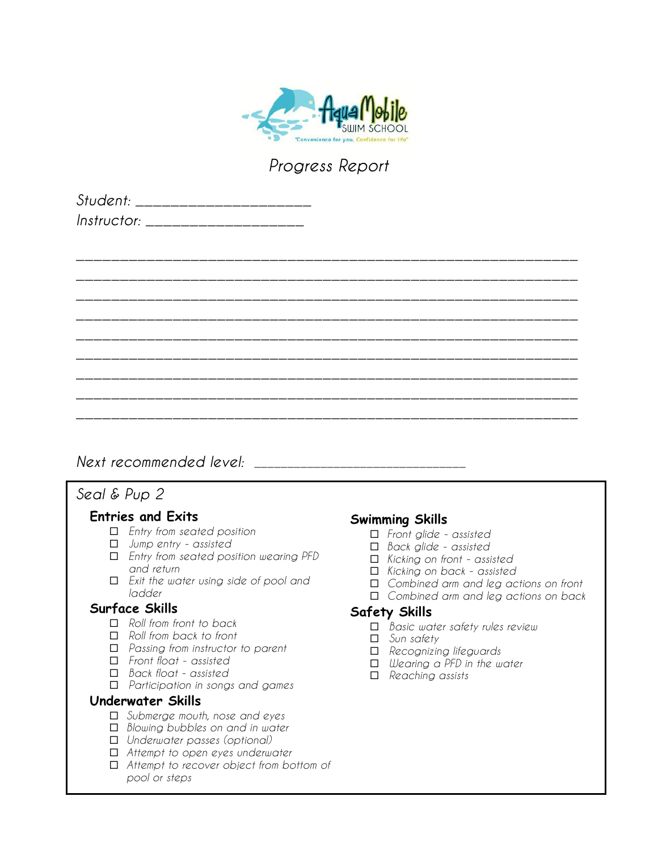

*\_\_\_\_\_\_\_\_\_\_\_\_\_\_\_\_\_\_\_\_\_\_\_\_\_\_\_\_\_\_\_\_\_\_\_\_\_\_\_\_\_\_\_\_\_\_\_\_\_\_\_\_\_\_\_\_\_*

| Student: _____________   |  |
|--------------------------|--|
| Instructor: ____________ |  |

# *\_\_\_\_\_\_\_\_\_\_\_\_\_\_\_\_\_\_\_\_\_\_\_\_\_\_\_\_\_\_\_\_\_\_\_\_\_\_\_\_\_\_\_\_\_\_\_\_\_\_\_\_\_\_\_\_\_ \_\_\_\_\_\_\_\_\_\_\_\_\_\_\_\_\_\_\_\_\_\_\_\_\_\_\_\_\_\_\_\_\_\_\_\_\_\_\_\_\_\_\_\_\_\_\_\_\_\_\_\_\_\_\_\_\_ \_\_\_\_\_\_\_\_\_\_\_\_\_\_\_\_\_\_\_\_\_\_\_\_\_\_\_\_\_\_\_\_\_\_\_\_\_\_\_\_\_\_\_\_\_\_\_\_\_\_\_\_\_\_\_\_\_ \_\_\_\_\_\_\_\_\_\_\_\_\_\_\_\_\_\_\_\_\_\_\_\_\_\_\_\_\_\_\_\_\_\_\_\_\_\_\_\_\_\_\_\_\_\_\_\_\_\_\_\_\_\_\_\_\_ \_\_\_\_\_\_\_\_\_\_\_\_\_\_\_\_\_\_\_\_\_\_\_\_\_\_\_\_\_\_\_\_\_\_\_\_\_\_\_\_\_\_\_\_\_\_\_\_\_\_\_\_\_\_\_\_\_ \_\_\_\_\_\_\_\_\_\_\_\_\_\_\_\_\_\_\_\_\_\_\_\_\_\_\_\_\_\_\_\_\_\_\_\_\_\_\_\_\_\_\_\_\_\_\_\_\_\_\_\_\_\_\_\_\_ \_\_\_\_\_\_\_\_\_\_\_\_\_\_\_\_\_\_\_\_\_\_\_\_\_\_\_\_\_\_\_\_\_\_\_\_\_\_\_\_\_\_\_\_\_\_\_\_\_\_\_\_\_\_\_\_\_ \_\_\_\_\_\_\_\_\_\_\_\_\_\_\_\_\_\_\_\_\_\_\_\_\_\_\_\_\_\_\_\_\_\_\_\_\_\_\_\_\_\_\_\_\_\_\_\_\_\_\_\_\_\_\_\_\_*

# *Next recommended level:*  $\blacksquare$

# *Seal & Pup 2*

### **Entries and Exits**

- ¨ *Entry from seated position*
- ¨ *Jump entry - assisted*
- ¨ *Entry from seated position wearing PFD and return*
- ¨ *Exit the water using side of pool and ladder*

## **Surface Skills**

- ¨ *Roll from front to back*
- ¨ *Roll from back to front*
- ¨ *Passing from instructor to parent*
- ¨ *Front float - assisted*
- ¨ *Back float - assisted*
- ¨ *Participation in songs and games*

### **Underwater Skills**

- ¨ *Submerge mouth, nose and eyes*
- □ *Blowing bubbles on and in water*
- ¨ *Underwater passes (optional)*
- ¨ *Attempt to open eyes underwater*
- ¨ *Attempt to recover object from bottom of pool or steps*

# **Swimming Skills**

- ¨ *Front glide - assisted*
- ¨ *Back glide - assisted*
- ¨ *Kicking on front - assisted*
- ¨ *Kicking on back - assisted*
- □ *Combined arm and leg actions on front*
- ¨ *Combined arm and leg actions on back*

- ¨ *Basic water safety rules review*
- □ *Sun safety*
- ¨ *Recognizing lifeguards*
- ¨ *Wearing a PFD in the water*
- ¨ *Reaching assists*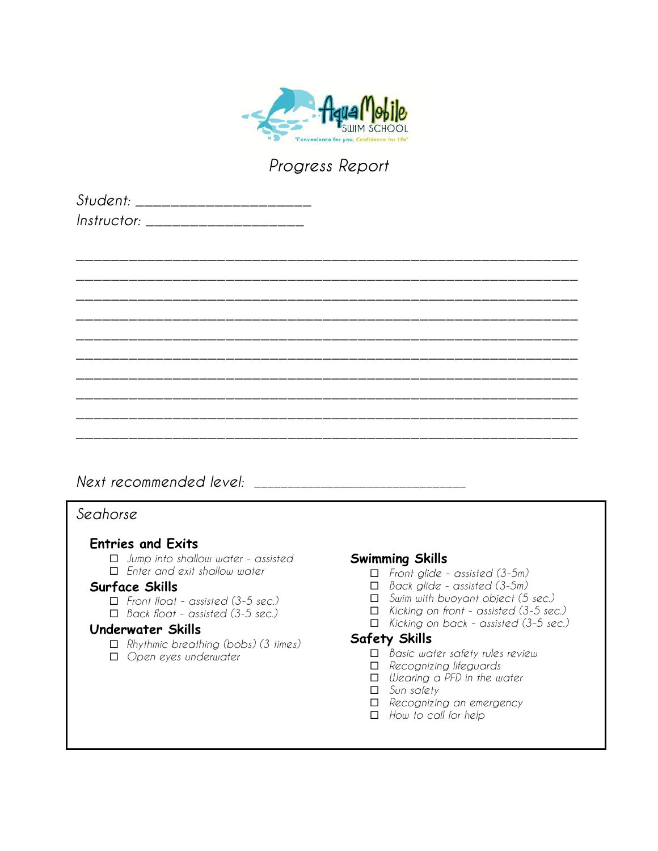

| Student: _____________          |  |
|---------------------------------|--|
| <i>Instructor:</i> ____________ |  |

|        |  |  | _______       |
|--------|--|--|---------------|
|        |  |  |               |
|        |  |  | ________      |
|        |  |  |               |
|        |  |  | __________    |
|        |  |  | _____________ |
|        |  |  | ______        |
|        |  |  | _______       |
| ______ |  |  | _______       |
|        |  |  |               |
|        |  |  |               |

*Next recommended level: \_\_\_\_\_\_\_\_\_\_\_\_\_\_\_\_\_\_\_\_\_\_\_\_\_\_\_\_\_\_\_\_*

## *Seahorse*

## **Entries and Exits**

¨ *Jump into shallow water - assisted* ¨ *Enter and exit shallow water*

### **Surface Skills**

- ¨ *Front float - assisted (3-5 sec.)*
- ¨ *Back float - assisted (3-5 sec.)*

### **Underwater Skills**

- ¨ *Rhythmic breathing (bobs) (3 times)*
- □ *Open eyes underwater*

### **Swimming Skills**

- ¨ *Front glide - assisted (3-5m)*
- ¨ *Back glide - assisted (3-5m)*
- ¨ *Swim with buoyant object (5 sec.)*
- ¨ *Kicking on front - assisted (3-5 sec.)*
- ¨ *Kicking on back - assisted (3-5 sec.)*

- ¨ *Basic water safety rules review*
- ¨ *Recognizing lifeguards*
- ¨ *Wearing a PFD in the water*
- □ *Sun safety*
- ¨ *Recognizing an emergency*
- □ *How to call for help*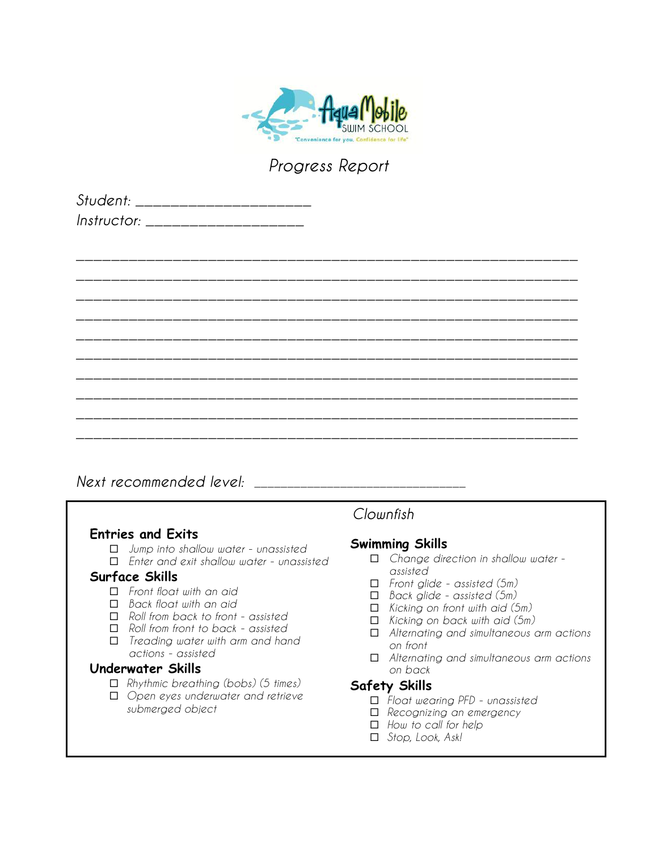

| Student: _____________          |  |
|---------------------------------|--|
| <i>Instructor:</i> ____________ |  |

|  |  | ________ |
|--|--|----------|
|  |  | _______  |
|  |  |          |
|  |  |          |
|  |  |          |
|  |  |          |
|  |  | ______   |
|  |  |          |
|  |  |          |

# *Next recommended level: \_\_\_\_\_\_\_\_\_\_\_\_\_\_\_\_\_\_\_\_\_\_\_\_\_\_\_\_\_\_\_\_*

### **Entries and Exits**

- ¨ *Jump into shallow water - unassisted*
- ¨ *Enter and exit shallow water - unassisted*

#### **Surface Skills**

- ¨ *Front float with an aid*
- ¨ *Back float with an aid*
- ¨ *Roll from back to front - assisted*
- ¨ *Roll from front to back - assisted*
- ¨ *Treading water with arm and hand actions - assisted*

### **Underwater Skills**

- ¨ *Rhythmic breathing (bobs) (5 times)*
- ¨ *Open eyes underwater and retrieve submerged object*

# *Clownfish*

### **Swimming Skills**

- ¨ *Change direction in shallow water assisted*
- ¨ *Front glide - assisted (5m)*
- ¨ *Back glide - assisted (5m)*
- ¨ *Kicking on front with aid (5m)*
- ¨ *Kicking on back with aid (5m)*
- ¨ *Alternating and simultaneous arm actions on front*
- ¨ *Alternating and simultaneous arm actions on back*

- ¨ *Float wearing PFD - unassisted*
- □ *Recognizing an emergency*
- □ *How to call for help*
- ¨ *Stop, Look, Ask!*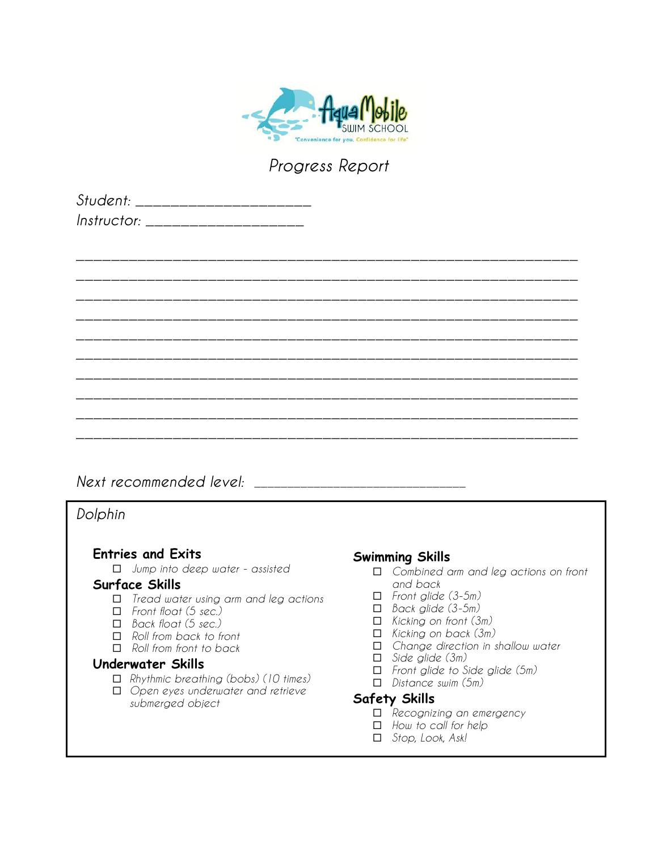

| Student: _____________          |  |
|---------------------------------|--|
| <i>Instructor:</i> ____________ |  |

|  |  | ______ |
|--|--|--------|
|  |  |        |
|  |  | ______ |
|  |  | ______ |
|  |  |        |
|  |  |        |
|  |  |        |
|  |  | ______ |
|  |  |        |

*Next recommended level: \_\_\_\_\_\_\_\_\_\_\_\_\_\_\_\_\_\_\_\_\_\_\_\_\_\_\_\_\_\_\_\_*

*Dolphin*

## **Entries and Exits**

¨ *Jump into deep water - assisted*

### **Surface Skills**

- ¨ *Tread water using arm and leg actions*
- ¨ *Front float (5 sec.)*
- ¨ *Back float (5 sec.)*
- ¨ *Roll from back to front*
- ¨ *Roll from front to back*

### **Underwater Skills**

- ¨ *Rhythmic breathing (bobs) (10 times)*
- ¨ *Open eyes underwater and retrieve submerged object*

## **Swimming Skills**

- ¨ *Combined arm and leg actions on front and back*
- ¨ *Front glide (3-5m)*
- ¨ *Back glide (3-5m)*
- ¨ *Kicking on front (3m)*
- ¨ *Kicking on back (3m)*
- □ *Change direction in shallow water*
- ¨ *Side glide (3m)*
- ¨ *Front glide to Side glide (5m)*
- ¨ *Distance swim (5m)*

- ¨ *Recognizing an emergency*
- ¨ *How to call for help*
- ¨ *Stop, Look, Ask!*